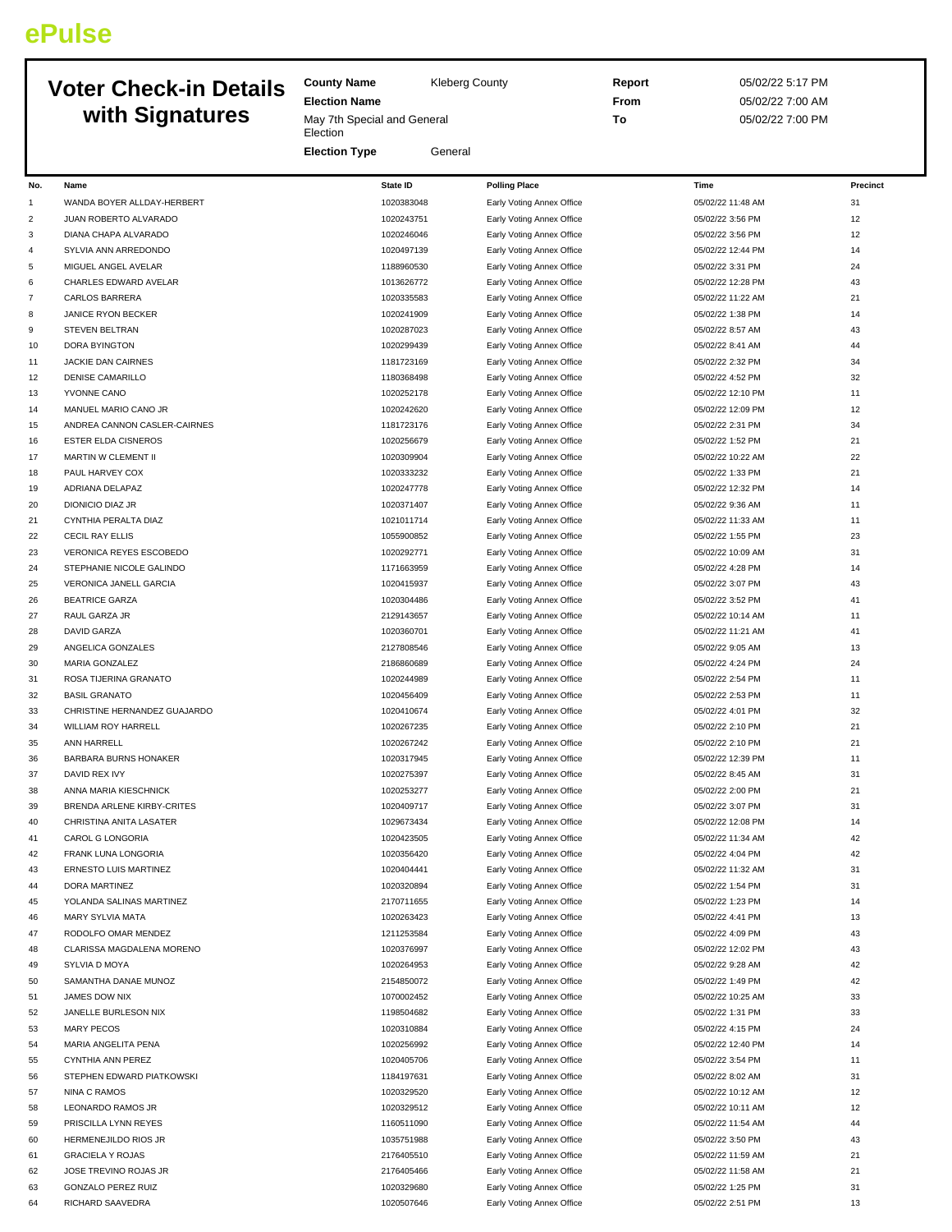## **ePulse**

## **Voter Check-in Details with Signatures**

**County Name** Kleberg County **Election Name**

May 7th Special and General **Election** 

**Election Type** General

**Report** 05/02/22 5:17 PM **From** 05/02/22 7:00 AM **To** 05/02/22 7:00 PM

| No.            | Name                         | <b>State ID</b> | <b>Polling Place</b>      | Time              | Precinct |
|----------------|------------------------------|-----------------|---------------------------|-------------------|----------|
| $\mathbf{1}$   | WANDA BOYER ALLDAY-HERBERT   | 1020383048      | Early Voting Annex Office | 05/02/22 11:48 AM | 31       |
| $\overline{c}$ | JUAN ROBERTO ALVARADO        | 1020243751      | Early Voting Annex Office | 05/02/22 3:56 PM  | 12       |
| 3              | DIANA CHAPA ALVARADO         | 1020246046      | Early Voting Annex Office | 05/02/22 3:56 PM  | 12       |
| 4              | SYLVIA ANN ARREDONDO         | 1020497139      | Early Voting Annex Office | 05/02/22 12:44 PM | 14       |
| 5              | MIGUEL ANGEL AVELAR          | 1188960530      | Early Voting Annex Office | 05/02/22 3:31 PM  | 24       |
| 6              | CHARLES EDWARD AVELAR        | 1013626772      | Early Voting Annex Office | 05/02/22 12:28 PM | 43       |
| 7              | <b>CARLOS BARRERA</b>        | 1020335583      | Early Voting Annex Office | 05/02/22 11:22 AM | 21       |
| 8              | <b>JANICE RYON BECKER</b>    | 1020241909      | Early Voting Annex Office | 05/02/22 1:38 PM  | 14       |
| 9              |                              | 1020287023      |                           | 05/02/22 8:57 AM  | 43       |
| 10             | STEVEN BELTRAN               | 1020299439      | Early Voting Annex Office | 05/02/22 8:41 AM  | 44       |
|                | DORA BYINGTON                |                 | Early Voting Annex Office |                   |          |
| 11             | JACKIE DAN CAIRNES           | 1181723169      | Early Voting Annex Office | 05/02/22 2:32 PM  | 34       |
| 12             | <b>DENISE CAMARILLO</b>      | 1180368498      | Early Voting Annex Office | 05/02/22 4:52 PM  | 32       |
| 13             | YVONNE CANO                  | 1020252178      | Early Voting Annex Office | 05/02/22 12:10 PM | 11       |
| 14             | MANUEL MARIO CANO JR         | 1020242620      | Early Voting Annex Office | 05/02/22 12:09 PM | 12       |
| 15             | ANDREA CANNON CASLER-CAIRNES | 1181723176      | Early Voting Annex Office | 05/02/22 2:31 PM  | 34       |
| 16             | <b>ESTER ELDA CISNEROS</b>   | 1020256679      | Early Voting Annex Office | 05/02/22 1:52 PM  | 21       |
| 17             | MARTIN W CLEMENT II          | 1020309904      | Early Voting Annex Office | 05/02/22 10:22 AM | 22       |
| 18             | PAUL HARVEY COX              | 1020333232      | Early Voting Annex Office | 05/02/22 1:33 PM  | 21       |
| 19             | ADRIANA DELAPAZ              | 1020247778      | Early Voting Annex Office | 05/02/22 12:32 PM | 14       |
| 20             | DIONICIO DIAZ JR             | 1020371407      | Early Voting Annex Office | 05/02/22 9:36 AM  | 11       |
| 21             | CYNTHIA PERALTA DIAZ         | 1021011714      | Early Voting Annex Office | 05/02/22 11:33 AM | 11       |
| 22             | <b>CECIL RAY ELLIS</b>       | 1055900852      | Early Voting Annex Office | 05/02/22 1:55 PM  | 23       |
| 23             | VERONICA REYES ESCOBEDO      | 1020292771      | Early Voting Annex Office | 05/02/22 10:09 AM | 31       |
| 24             | STEPHANIE NICOLE GALINDO     | 1171663959      | Early Voting Annex Office | 05/02/22 4:28 PM  | 14       |
| 25             | VERONICA JANELL GARCIA       | 1020415937      | Early Voting Annex Office | 05/02/22 3:07 PM  | 43       |
| 26             | <b>BEATRICE GARZA</b>        | 1020304486      | Early Voting Annex Office | 05/02/22 3:52 PM  | 41       |
| 27             | RAUL GARZA JR                | 2129143657      | Early Voting Annex Office | 05/02/22 10:14 AM | 11       |
|                |                              |                 |                           |                   |          |
| 28             | <b>DAVID GARZA</b>           | 1020360701      | Early Voting Annex Office | 05/02/22 11:21 AM | 41       |
| 29             | ANGELICA GONZALES            | 2127808546      | Early Voting Annex Office | 05/02/22 9:05 AM  | 13       |
| 30             | MARIA GONZALEZ               | 2186860689      | Early Voting Annex Office | 05/02/22 4:24 PM  | 24       |
| 31             | ROSA TIJERINA GRANATO        | 1020244989      | Early Voting Annex Office | 05/02/22 2:54 PM  | 11       |
| 32             | <b>BASIL GRANATO</b>         | 1020456409      | Early Voting Annex Office | 05/02/22 2:53 PM  | 11       |
| 33             | CHRISTINE HERNANDEZ GUAJARDO | 1020410674      | Early Voting Annex Office | 05/02/22 4:01 PM  | 32       |
| 34             | WILLIAM ROY HARRELL          | 1020267235      | Early Voting Annex Office | 05/02/22 2:10 PM  | 21       |
| 35             | ANN HARRELL                  | 1020267242      | Early Voting Annex Office | 05/02/22 2:10 PM  | 21       |
| 36             | BARBARA BURNS HONAKER        | 1020317945      | Early Voting Annex Office | 05/02/22 12:39 PM | 11       |
| 37             | DAVID REX IVY                | 1020275397      | Early Voting Annex Office | 05/02/22 8:45 AM  | 31       |
| 38             | ANNA MARIA KIESCHNICK        | 1020253277      | Early Voting Annex Office | 05/02/22 2:00 PM  | 21       |
| 39             | BRENDA ARLENE KIRBY-CRITES   | 1020409717      | Early Voting Annex Office | 05/02/22 3:07 PM  | 31       |
| 40             | CHRISTINA ANITA LASATER      | 1029673434      | Early Voting Annex Office | 05/02/22 12:08 PM | 14       |
| 41             | CAROL G LONGORIA             | 1020423505      | Early Voting Annex Office | 05/02/22 11:34 AM | 42       |
| 42             | FRANK LUNA LONGORIA          | 1020356420      | Early Voting Annex Office | 05/02/22 4:04 PM  | 42       |
| 43             | ERNESTO LUIS MARTINEZ        | 1020404441      | Early Voting Annex Office | 05/02/22 11:32 AM | 31       |
|                |                              |                 |                           |                   |          |
| 44             | DORA MARTINEZ                | 1020320894      | Early Voting Annex Office | 05/02/22 1:54 PM  | 31       |
| 45             | YOLANDA SALINAS MARTINEZ     | 2170711655      | Early Voting Annex Office | 05/02/22 1:23 PM  | 14       |
| 46             | MARY SYLVIA MATA             | 1020263423      | Early Voting Annex Office | 05/02/22 4:41 PM  | 13       |
| 47             | RODOLFO OMAR MENDEZ          | 1211253584      | Early Voting Annex Office | 05/02/22 4:09 PM  | 43       |
| 48             | CLARISSA MAGDALENA MORENO    | 1020376997      | Early Voting Annex Office | 05/02/22 12:02 PM | 43       |
| 49             | SYLVIA D MOYA                | 1020264953      | Early Voting Annex Office | 05/02/22 9:28 AM  | 42       |
| 50             | SAMANTHA DANAE MUNOZ         | 2154850072      | Early Voting Annex Office | 05/02/22 1:49 PM  | 42       |
| 51             | JAMES DOW NIX                | 1070002452      | Early Voting Annex Office | 05/02/22 10:25 AM | 33       |
| 52             | JANELLE BURLESON NIX         | 1198504682      | Early Voting Annex Office | 05/02/22 1:31 PM  | 33       |
| 53             | <b>MARY PECOS</b>            | 1020310884      | Early Voting Annex Office | 05/02/22 4:15 PM  | 24       |
| 54             | MARIA ANGELITA PENA          | 1020256992      | Early Voting Annex Office | 05/02/22 12:40 PM | 14       |
| 55             | CYNTHIA ANN PEREZ            | 1020405706      | Early Voting Annex Office | 05/02/22 3:54 PM  | 11       |
| 56             | STEPHEN EDWARD PIATKOWSKI    | 1184197631      | Early Voting Annex Office | 05/02/22 8:02 AM  | 31       |
| 57             | NINA C RAMOS                 | 1020329520      | Early Voting Annex Office | 05/02/22 10:12 AM | 12       |
| 58             | LEONARDO RAMOS JR            | 1020329512      | Early Voting Annex Office | 05/02/22 10:11 AM | 12       |
| 59             | PRISCILLA LYNN REYES         | 1160511090      | Early Voting Annex Office | 05/02/22 11:54 AM | 44       |
|                |                              | 1035751988      |                           |                   | 43       |
| 60             | HERMENEJILDO RIOS JR         |                 | Early Voting Annex Office | 05/02/22 3:50 PM  |          |
| 61             | <b>GRACIELA Y ROJAS</b>      | 2176405510      | Early Voting Annex Office | 05/02/22 11:59 AM | 21       |
| 62             | JOSE TREVINO ROJAS JR        | 2176405466      | Early Voting Annex Office | 05/02/22 11:58 AM | 21       |
| 63             | <b>GONZALO PEREZ RUIZ</b>    | 1020329680      | Early Voting Annex Office | 05/02/22 1:25 PM  | 31       |
| 64             | RICHARD SAAVEDRA             | 1020507646      | Early Voting Annex Office | 05/02/22 2:51 PM  | 13       |